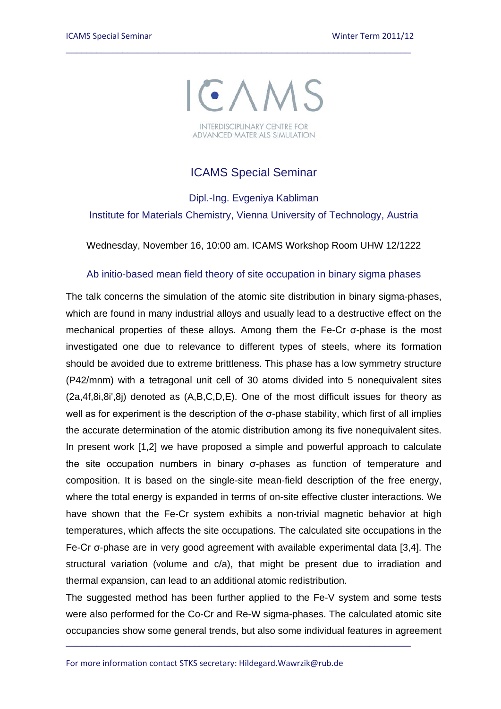

\_\_\_\_\_\_\_\_\_\_\_\_\_\_\_\_\_\_\_\_\_\_\_\_\_\_\_\_\_\_\_\_\_\_\_\_\_\_\_\_\_\_\_\_\_\_\_\_\_\_\_\_\_\_\_\_\_\_\_\_\_\_\_\_\_\_\_

## ICAMS Special Seminar

Dipl.-Ing. Evgeniya Kabliman Institute for Materials Chemistry, Vienna University of Technology, Austria

Wednesday, November 16, 10:00 am. ICAMS Workshop Room UHW 12/1222

## Ab initio-based mean field theory of site occupation in binary sigma phases

The talk concerns the simulation of the atomic site distribution in binary sigma-phases, which are found in many industrial alloys and usually lead to a destructive effect on the mechanical properties of these alloys. Among them the Fe-Cr σ-phase is the most investigated one due to relevance to different types of steels, where its formation should be avoided due to extreme brittleness. This phase has a low symmetry structure (P42/mnm) with a tetragonal unit cell of 30 atoms divided into 5 nonequivalent sites (2a,4f,8i,8i',8j) denoted as (A,B,C,D,E). One of the most difficult issues for theory as well as for experiment is the description of the σ-phase stability, which first of all implies the accurate determination of the atomic distribution among its five nonequivalent sites. In present work [1,2] we have proposed a simple and powerful approach to calculate the site occupation numbers in binary σ-phases as function of temperature and composition. It is based on the single-site mean-field description of the free energy, where the total energy is expanded in terms of on-site effective cluster interactions. We have shown that the Fe-Cr system exhibits a non-trivial magnetic behavior at high temperatures, which affects the site occupations. The calculated site occupations in the Fe-Cr σ-phase are in very good agreement with available experimental data [3,4]. The structural variation (volume and c/a), that might be present due to irradiation and thermal expansion, can lead to an additional atomic redistribution.

The suggested method has been further applied to the Fe-V system and some tests were also performed for the Co-Cr and Re-W sigma-phases. The calculated atomic site occupancies show some general trends, but also some individual features in agreement

\_\_\_\_\_\_\_\_\_\_\_\_\_\_\_\_\_\_\_\_\_\_\_\_\_\_\_\_\_\_\_\_\_\_\_\_\_\_\_\_\_\_\_\_\_\_\_\_\_\_\_\_\_\_\_\_\_\_\_\_\_\_\_\_\_\_\_